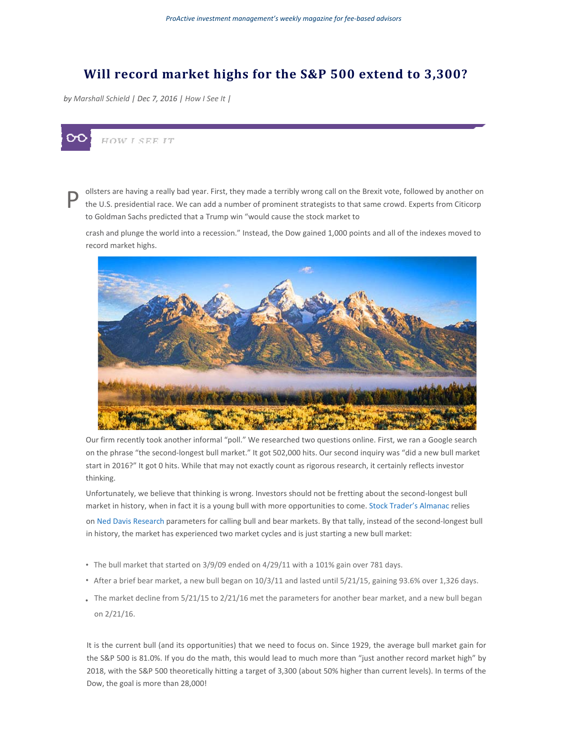## **Will record market highs for the S&P 500 extend to 3,300?**

*by Marshall Schield | Dec 7, 2016 | How I See It |*



P ollsters are having a really bad year. First, they made a terribly wrong call on the Brexit vote, followed by another on the U.S. presidential race. We can add a number of prominent strategists to that same crowd. Experts from Citicorp to Goldman Sachs predicted that a Trump win "would cause the stock market to

crash and plunge the world into a recession." Instead, the Dow gained 1,000 points and all of the indexes moved to record market highs.



Our firm recently took another informal "poll." We researched two questions online. First, we ran a Google search on the phrase "the second-longest bull market." It got 502,000 hits. Our second inquiry was "did a new bull market start in 2016?" It got 0 hits. While that may not exactly count as rigorous research, it certainly reflects investor thinking.

Unfortunately, we believe that thinking is wrong. Investors should not be fretting about the second-longest bull market in history, when in fact it is a young bull with more opportunities to come. Stock Trader's Almanac relies on Ned Davis Research parameters for calling bull and bear markets. By that tally, instead of the second-longest bull in history, the market has experienced two market cycles and is just starting a new bull market:

- The bull market that started on 3/9/09 ended on 4/29/11 with a 101% gain over 781 days.
- After a brief bear market, a new bull began on 10/3/11 and lasted until 5/21/15, gaining 93.6% over 1,326 days.
- The market decline from 5/21/15 to 2/21/16 met the parameters for another bear market, and a new bull began on 2/21/16.

It is the current bull (and its opportunities) that we need to focus on. Since 1929, the average bull market gain for the S&P 500 is 81.0%. If you do the math, this would lead to much more than "just another record market high" by 2018, with the S&P 500 theoretically hitting a target of 3,300 (about 50% higher than current levels). In terms of the Dow, the goal is more than 28,000!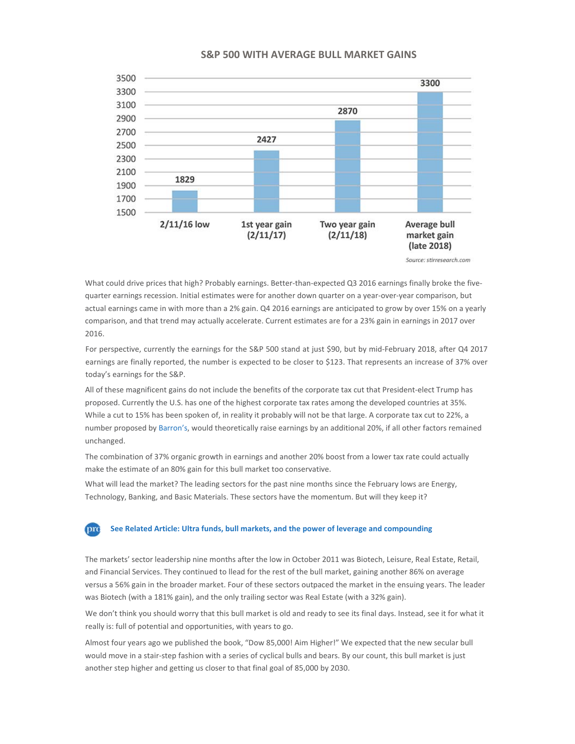## **S&P 500 WITH AVERAGE BULL MARKET GAINS**



Source: stirresearch.com

What could drive prices that high? Probably earnings. Better-than-expected Q3 2016 earnings finally broke the fivequarter earnings recession. Initial estimates were for another down quarter on a year-over-year comparison, but actual earnings came in with more than a 2% gain. Q4 2016 earnings are anticipated to grow by over 15% on a yearly comparison, and that trend may actually accelerate. Current estimates are for a 23% gain in earnings in 2017 over 2016.

For perspective, currently the earnings for the S&P 500 stand at just \$90, but by mid-February 2018, after Q4 2017 earnings are finally reported, the number is expected to be closer to \$123. That represents an increase of 37% over today's earnings for the S&P.

All of these magnificent gains do not include the benefits of the corporate tax cut that President-elect Trump has proposed. Currently the U.S. has one of the highest corporate tax rates among the developed countries at 35%. While a cut to 15% has been spoken of, in reality it probably will not be that large. A corporate tax cut to 22%, a number proposed by Barron's, would theoretically raise earnings by an additional 20%, if all other factors remained unchanged.

The combination of 37% organic growth in earnings and another 20% boost from a lower tax rate could actually make the estimate of an 80% gain for this bull market too conservative.

What will lead the market? The leading sectors for the past nine months since the February lows are Energy, Technology, Banking, and Basic Materials. These sectors have the momentum. But will they keep it?

## **prc See Related Article: Ultra funds, bull markets, and the power of leverage and compounding**

The markets' sector leadership nine months after the low in October 2011 was Biotech, Leisure, Real Estate, Retail, and Financial Services. They continued to llead for the rest of the bull market, gaining another 86% on average versus a 56% gain in the broader market. Four of these sectors outpaced the market in the ensuing years. The leader was Biotech (with a 181% gain), and the only trailing sector was Real Estate (with a 32% gain).

We don't think you should worry that this bull market is old and ready to see its final days. Instead, see it for what it really is: full of potential and opportunities, with years to go.

Almost four years ago we published the book, "Dow 85,000! Aim Higher!" We expected that the new secular bull would move in a stair-step fashion with a series of cyclical bulls and bears. By our count, this bull market is just another step higher and getting us closer to that final goal of 85,000 by 2030.